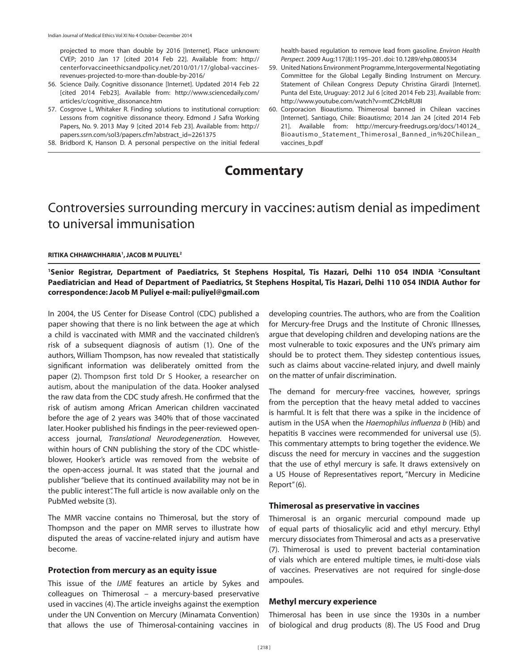projected to more than double by 2016 [Internet]. Place unknown: CVEP; 2010 Jan 17 [cited 2014 Feb 22]. Available from: http:// centerforvaccineethicsandpolicy.net/2010/01/17/global-vaccinesrevenues-projected-to-more-than-double-by-2016/

- 56. Science Daily. Cognitive dissonance [Internet]. Updated 2014 Feb 22 [cited 2014 Feb23]. Available from: http://www.sciencedaily.com/ articles/c/cognitive\_dissonance.htm
- 57. Cosgrove L, Whitaker R. Finding solutions to institutional corruption: Lessons from cognitive dissonance theory. Edmond J Safra Working Papers, No. 9. 2013 May 9 [cited 2014 Feb 23]. Available from: http:// papers.ssrn.com/sol3/papers.cfm?abstract\_id=2261375
- 58. Bridbord K, Hanson D. A personal perspective on the initial federal

health-based regulation to remove lead from gasoline. *Environ Health Perspect.* 2009 Aug;117(8):1195–201. doi: 10.1289/ehp.0800534

- 59. United Nations Environment Programme, Intergovermental Negotiating Committee for the Global Legally Binding Instrument on Mercury. Statement of Chilean Congress Deputy Christina Girardi [Internet]. Punta del Este, Uruguay: 2012 Jul 6 [cited 2014 Feb 23]. Available from: http://www.youtube.com/watch?v=mtCZHcbRU8I
- 60. Corporacion Bioautismo. Thimerosal banned in Chilean vaccines [Internet]. Santiago, Chile: Bioautismo; 2014 Jan 24 [cited 2014 Feb 21]. Available from: http://mercury-freedrugs.org/docs/140124\_ Bioautismo\_Statement\_Thimerosal\_Banned\_in%20Chilean\_ vaccines\_b.pdf

# **Commentary**

# Controversies surrounding mercury in vaccines: autism denial as impediment to universal immunisation

**RITIKA CHHAWCHHARIA1 , JACOB M PULIYEL2**

**1 Senior Registrar, Department of Paediatrics, St Stephens Hospital, Tis Hazari, Delhi 110 054 INDIA 2 Consultant Paediatrician and Head of Department of Paediatrics, St Stephens Hospital, Tis Hazari, Delhi 110 054 INDIA Author for correspondence: Jacob M Puliyel e-mail: puliyel@gmail.com**

In 2004, the US Center for Disease Control (CDC) published a paper showing that there is no link between the age at which a child is vaccinated with MMR and the vaccinated children's risk of a subsequent diagnosis of autism (1). One of the authors, William Thompson, has now revealed that statistically significant information was deliberately omitted from the paper (2). Thompson first told Dr S Hooker, a researcher on autism, about the manipulation of the data. Hooker analysed the raw data from the CDC study afresh. He confirmed that the risk of autism among African American children vaccinated before the age of 2 years was 340% that of those vaccinated later. Hooker published his findings in the peer-reviewed openaccess journal, *Translational Neurodegeneration.* However, within hours of CNN publishing the story of the CDC whistleblower, Hooker's article was removed from the website of the open-access journal. It was stated that the journal and publisher "believe that its continued availability may not be in the public interest". The full article is now available only on the PubMed website (3).

The MMR vaccine contains no Thimerosal, but the story of Thompson and the paper on MMR serves to illustrate how disputed the areas of vaccine-related injury and autism have become.

### **Protection from mercury as an equity issue**

This issue of the *IJME* features an article by Sykes and colleagues on Thimerosal – a mercury-based preservative used in vaccines (4). The article inveighs against the exemption under the UN Convention on Mercury (Minamata Convention) that allows the use of Thimerosal-containing vaccines in

developing countries. The authors, who are from the Coalition for Mercury-free Drugs and the Institute of Chronic Illnesses, argue that developing children and developing nations are the most vulnerable to toxic exposures and the UN's primary aim should be to protect them. They sidestep contentious issues, such as claims about vaccine-related injury, and dwell mainly on the matter of unfair discrimination.

The demand for mercury-free vaccines, however, springs from the perception that the heavy metal added to vaccines is harmful. It is felt that there was a spike in the incidence of autism in the USA when the *Haemophilus influenza b* (Hib) and hepatitis B vaccines were recommended for universal use (5). This commentary attempts to bring together the evidence. We discuss the need for mercury in vaccines and the suggestion that the use of ethyl mercury is safe. It draws extensively on a US House of Representatives report, "Mercury in Medicine Report" (6).

### **Thimerosal as preservative in vaccines**

Thimerosal is an organic mercurial compound made up of equal parts of thiosalicylic acid and ethyl mercury. Ethyl mercury dissociates from Thimerosal and acts as a preservative (7). Thimerosal is used to prevent bacterial contamination of vials which are entered multiple times, ie multi-dose vials of vaccines. Preservatives are not required for single-dose ampoules.

### **Methyl mercury experience**

Thimerosal has been in use since the 1930s in a number of biological and drug products (8). The US Food and Drug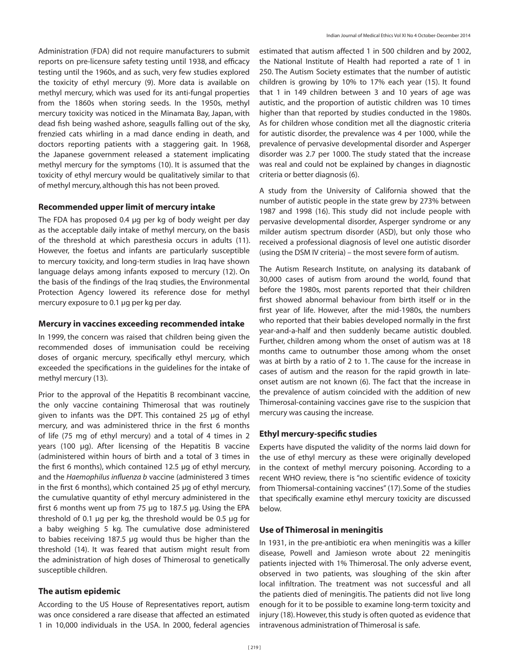Administration (FDA) did not require manufacturers to submit reports on pre-licensure safety testing until 1938, and efficacy testing until the 1960s, and as such, very few studies explored the toxicity of ethyl mercury (9). More data is available on methyl mercury, which was used for its anti-fungal properties from the 1860s when storing seeds. In the 1950s, methyl mercury toxicity was noticed in the Minamata Bay, Japan, with dead fish being washed ashore, seagulls falling out of the sky, frenzied cats whirling in a mad dance ending in death, and doctors reporting patients with a staggering gait. In 1968, the Japanese government released a statement implicating methyl mercury for the symptoms (10). It is assumed that the toxicity of ethyl mercury would be qualitatively similar to that of methyl mercury, although this has not been proved.

### **Recommended upper limit of mercury intake**

The FDA has proposed 0.4 µg per kg of body weight per day as the acceptable daily intake of methyl mercury, on the basis of the threshold at which paresthesia occurs in adults (11). However, the foetus and infants are particularly susceptible to mercury toxicity, and long-term studies in Iraq have shown language delays among infants exposed to mercury (12). On the basis of the findings of the Iraq studies, the Environmental Protection Agency lowered its reference dose for methyl mercury exposure to 0.1 µg per kg per day.

### **Mercury in vaccines exceeding recommended intake**

In 1999, the concern was raised that children being given the recommended doses of immunisation could be receiving doses of organic mercury, specifically ethyl mercury, which exceeded the specifications in the guidelines for the intake of methyl mercury (13).

Prior to the approval of the Hepatitis B recombinant vaccine, the only vaccine containing Thimerosal that was routinely given to infants was the DPT. This contained 25 µg of ethyl mercury, and was administered thrice in the first 6 months of life (75 mg of ethyl mercury) and a total of 4 times in 2 years (100 µg). After licensing of the Hepatitis B vaccine (administered within hours of birth and a total of 3 times in the first 6 months), which contained 12.5 µg of ethyl mercury, and the *Haemophilus influenza b* vaccine (administered 3 times in the first 6 months), which contained 25 µg of ethyl mercury, the cumulative quantity of ethyl mercury administered in the first 6 months went up from 75 µg to 187.5 µg. Using the EPA threshold of 0.1 µg per kg, the threshold would be 0.5 µg for a baby weighing 5 kg. The cumulative dose administered to babies receiving 187.5 µg would thus be higher than the threshold (14). It was feared that autism might result from the administration of high doses of Thimerosal to genetically susceptible children.

### **The autism epidemic**

According to the US House of Representatives report, autism was once considered a rare disease that affected an estimated 1 in 10,000 individuals in the USA. In 2000, federal agencies estimated that autism affected 1 in 500 children and by 2002, the National Institute of Health had reported a rate of 1 in 250. The Autism Society estimates that the number of autistic children is growing by 10% to 17% each year (15). It found that 1 in 149 children between 3 and 10 years of age was autistic, and the proportion of autistic children was 10 times higher than that reported by studies conducted in the 1980s. As for children whose condition met all the diagnostic criteria for autistic disorder, the prevalence was 4 per 1000, while the prevalence of pervasive developmental disorder and Asperger disorder was 2.7 per 1000. The study stated that the increase was real and could not be explained by changes in diagnostic criteria or better diagnosis (6).

A study from the University of California showed that the number of autistic people in the state grew by 273% between 1987 and 1998 (16). This study did not include people with pervasive developmental disorder, Asperger syndrome or any milder autism spectrum disorder (ASD), but only those who received a professional diagnosis of level one autistic disorder (using the DSM IV criteria) – the most severe form of autism.

The Autism Research Institute, on analysing its databank of 30,000 cases of autism from around the world, found that before the 1980s, most parents reported that their children first showed abnormal behaviour from birth itself or in the first year of life. However, after the mid-1980s, the numbers who reported that their babies developed normally in the first year-and-a-half and then suddenly became autistic doubled. Further, children among whom the onset of autism was at 18 months came to outnumber those among whom the onset was at birth by a ratio of 2 to 1. The cause for the increase in cases of autism and the reason for the rapid growth in lateonset autism are not known (6). The fact that the increase in the prevalence of autism coincided with the addition of new Thimerosal-containing vaccines gave rise to the suspicion that mercury was causing the increase.

### **Ethyl mercury-specific studies**

Experts have disputed the validity of the norms laid down for the use of ethyl mercury as these were originally developed in the context of methyl mercury poisoning. According to a recent WHO review, there is "no scientific evidence of toxicity from Thiomersal-containing vaccines" (17).Some of the studies that specifically examine ethyl mercury toxicity are discussed below.

### **Use of Thimerosal in meningitis**

In 1931, in the pre-antibiotic era when meningitis was a killer disease, Powell and Jamieson wrote about 22 meningitis patients injected with 1% Thimerosal. The only adverse event, observed in two patients, was sloughing of the skin after local infiltration. The treatment was not successful and all the patients died of meningitis. The patients did not live long enough for it to be possible to examine long-term toxicity and injury (18). However, this study is often quoted as evidence that intravenous administration of Thimerosal is safe.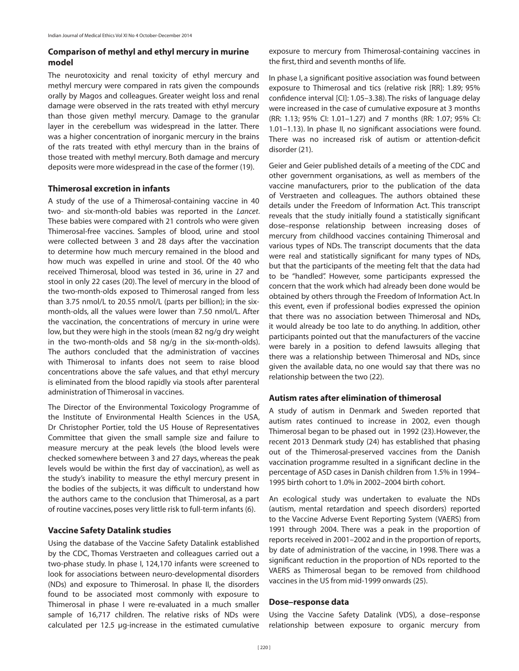# **Comparison of methyl and ethyl mercury in murine model**

The neurotoxicity and renal toxicity of ethyl mercury and methyl mercury were compared in rats given the compounds orally by Magos and colleagues. Greater weight loss and renal damage were observed in the rats treated with ethyl mercury than those given methyl mercury. Damage to the granular layer in the cerebellum was widespread in the latter. There was a higher concentration of inorganic mercury in the brains of the rats treated with ethyl mercury than in the brains of those treated with methyl mercury. Both damage and mercury deposits were more widespread in the case of the former (19).

# **Thimerosal excretion in infants**

A study of the use of a Thimerosal-containing vaccine in 40 two- and six-month-old babies was reported in the *Lancet*. These babies were compared with 21 controls who were given Thimerosal-free vaccines. Samples of blood, urine and stool were collected between 3 and 28 days after the vaccination to determine how much mercury remained in the blood and how much was expelled in urine and stool. Of the 40 who received Thimerosal, blood was tested in 36, urine in 27 and stool in only 22 cases (20). The level of mercury in the blood of the two-month-olds exposed to Thimerosal ranged from less than 3.75 nmol/L to 20.55 nmol/L (parts per billion); in the sixmonth-olds, all the values were lower than 7.50 nmol/L. After the vaccination, the concentrations of mercury in urine were low, but they were high in the stools (mean 82 ng/g dry weight in the two-month-olds and 58 ng/g in the six-month-olds). The authors concluded that the administration of vaccines with Thimerosal to infants does not seem to raise blood concentrations above the safe values, and that ethyl mercury is eliminated from the blood rapidly via stools after parenteral administration of Thimerosal in vaccines.

The Director of the Environmental Toxicology Programme of the Institute of Environmental Health Sciences in the USA, Dr Christopher Portier, told the US House of Representatives Committee that given the small sample size and failure to measure mercury at the peak levels (the blood levels were checked somewhere between 3 and 27 days, whereas the peak levels would be within the first day of vaccination), as well as the study's inability to measure the ethyl mercury present in the bodies of the subjects, it was difficult to understand how the authors came to the conclusion that Thimerosal, as a part of routine vaccines, poses very little risk to full-term infants (6).

# **Vaccine Safety Datalink studies**

Using the database of the Vaccine Safety Datalink established by the CDC, Thomas Verstraeten and colleagues carried out a two-phase study. In phase I, 124,170 infants were screened to look for associations between neuro-developmental disorders (NDs) and exposure to Thimerosal. In phase II, the disorders found to be associated most commonly with exposure to Thimerosal in phase I were re-evaluated in a much smaller sample of 16,717 children. The relative risks of NDs were calculated per 12.5 µg-increase in the estimated cumulative

exposure to mercury from Thimerosal-containing vaccines in the first, third and seventh months of life.

In phase I, a significant positive association was found between exposure to Thimerosal and tics (relative risk [RR]: 1.89; 95% confidence interval [CI]: 1.05–3.38). The risks of language delay were increased in the case of cumulative exposure at 3 months (RR: 1.13; 95% CI: 1.01–1.27) and 7 months (RR: 1.07; 95% CI: 1.01–1.13). In phase II, no significant associations were found. There was no increased risk of autism or attention-deficit disorder (21).

Geier and Geier published details of a meeting of the CDC and other government organisations, as well as members of the vaccine manufacturers, prior to the publication of the data of Verstraeten and colleagues. The authors obtained these details under the Freedom of Information Act. This transcript reveals that the study initially found a statistically significant dose–response relationship between increasing doses of mercury from childhood vaccines containing Thimerosal and various types of NDs. The transcript documents that the data were real and statistically significant for many types of NDs, but that the participants of the meeting felt that the data had to be "handled". However, some participants expressed the concern that the work which had already been done would be obtained by others through the Freedom of Information Act. In this event, even if professional bodies expressed the opinion that there was no association between Thimerosal and NDs, it would already be too late to do anything. In addition, other participants pointed out that the manufacturers of the vaccine were barely in a position to defend lawsuits alleging that there was a relationship between Thimerosal and NDs, since given the available data, no one would say that there was no relationship between the two (22).

# **Autism rates after elimination of thimerosal**

A study of autism in Denmark and Sweden reported that autism rates continued to increase in 2002, even though Thimerosal began to be phased out in 1992 (23).However, the recent 2013 Denmark study (24) has established that phasing out of the Thimerosal-preserved vaccines from the Danish vaccination programme resulted in a significant decline in the percentage of ASD cases in Danish children from 1.5% in 1994– 1995 birth cohort to 1.0% in 2002–2004 birth cohort.

An ecological study was undertaken to evaluate the NDs (autism, mental retardation and speech disorders) reported to the Vaccine Adverse Event Reporting System (VAERS) from 1991 through 2004. There was a peak in the proportion of reports received in 2001–2002 and in the proportion of reports, by date of administration of the vaccine, in 1998. There was a significant reduction in the proportion of NDs reported to the VAERS as Thimerosal began to be removed from childhood vaccines in the US from mid-1999 onwards (25).

### **Dose–response data**

Using the Vaccine Safety Datalink (VDS), a dose–response relationship between exposure to organic mercury from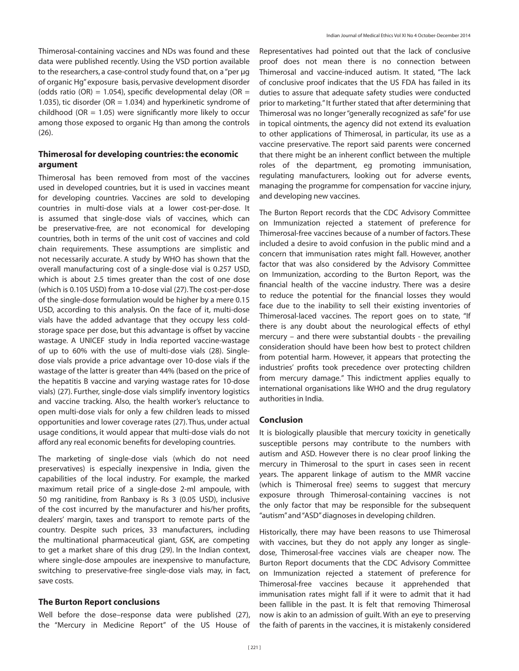Thimerosal-containing vaccines and NDs was found and these data were published recently. Using the VSD portion available to the researchers, a case-control study found that, on a "per µg of organic Hg" exposure basis, pervasive development disorder (odds ratio (OR) = 1.054), specific developmental delay (OR = 1.035), tic disorder (OR = 1.034) and hyperkinetic syndrome of childhood (OR =  $1.05$ ) were significantly more likely to occur among those exposed to organic Hg than among the controls (26).

# **Thimerosal for developing countries: the economic argument**

Thimerosal has been removed from most of the vaccines used in developed countries, but it is used in vaccines meant for developing countries. Vaccines are sold to developing countries in multi-dose vials at a lower cost-per-dose. It is assumed that single-dose vials of vaccines, which can be preservative-free, are not economical for developing countries, both in terms of the unit cost of vaccines and cold chain requirements. These assumptions are simplistic and not necessarily accurate. A study by WHO has shown that the overall manufacturing cost of a single-dose vial is 0.257 USD, which is about 2.5 times greater than the cost of one dose (which is 0.105 USD) from a 10-dose vial (27). The cost-per-dose of the single-dose formulation would be higher by a mere 0.15 USD, according to this analysis. On the face of it, multi-dose vials have the added advantage that they occupy less coldstorage space per dose, but this advantage is offset by vaccine wastage. A UNICEF study in India reported vaccine-wastage of up to 60% with the use of multi-dose vials (28). Singledose vials provide a price advantage over 10-dose vials if the wastage of the latter is greater than 44% (based on the price of the hepatitis B vaccine and varying wastage rates for 10-dose vials) (27). Further, single-dose vials simplify inventory logistics and vaccine tracking. Also, the health worker's reluctance to open multi-dose vials for only a few children leads to missed opportunities and lower coverage rates (27). Thus, under actual usage conditions, it would appear that multi-dose vials do not afford any real economic benefits for developing countries.

The marketing of single-dose vials (which do not need preservatives) is especially inexpensive in India, given the capabilities of the local industry. For example, the marked maximum retail price of a single-dose 2-ml ampoule, with 50 mg ranitidine, from Ranbaxy is Rs 3 (0.05 USD), inclusive of the cost incurred by the manufacturer and his/her profits, dealers' margin, taxes and transport to remote parts of the country. Despite such prices, 33 manufacturers, including the multinational pharmaceutical giant, GSK, are competing to get a market share of this drug (29). In the Indian context, where single-dose ampoules are inexpensive to manufacture, switching to preservative-free single-dose vials may, in fact, save costs.

### **The Burton Report conclusions**

Well before the dose–response data were published (27), the "Mercury in Medicine Report" of the US House of

Representatives had pointed out that the lack of conclusive proof does not mean there is no connection between Thimerosal and vaccine-induced autism. It stated, "The lack of conclusive proof indicates that the US FDA has failed in its duties to assure that adequate safety studies were conducted prior to marketing." It further stated that after determining that Thimerosal was no longer "generally recognized as safe" for use in topical ointments, the agency did not extend its evaluation to other applications of Thimerosal, in particular, its use as a vaccine preservative. The report said parents were concerned that there might be an inherent conflict between the multiple roles of the department, eg promoting immunisation, regulating manufacturers, looking out for adverse events, managing the programme for compensation for vaccine injury, and developing new vaccines.

The Burton Report records that the CDC Advisory Committee on Immunization rejected a statement of preference for Thimerosal-free vaccines because of a number of factors. These included a desire to avoid confusion in the public mind and a concern that immunisation rates might fall. However, another factor that was also considered by the Advisory Committee on Immunization, according to the Burton Report, was the financial health of the vaccine industry. There was a desire to reduce the potential for the financial losses they would face due to the inability to sell their existing inventories of Thimerosal-laced vaccines. The report goes on to state, "If there is any doubt about the neurological effects of ethyl mercury – and there were substantial doubts - the prevailing consideration should have been how best to protect children from potential harm. However, it appears that protecting the industries' profits took precedence over protecting children from mercury damage." This indictment applies equally to international organisations like WHO and the drug regulatory authorities in India.

### **Conclusion**

It is biologically plausible that mercury toxicity in genetically susceptible persons may contribute to the numbers with autism and ASD. However there is no clear proof linking the mercury in Thimerosal to the spurt in cases seen in recent years. The apparent linkage of autism to the MMR vaccine (which is Thimerosal free) seems to suggest that mercury exposure through Thimerosal-containing vaccines is not the only factor that may be responsible for the subsequent "autism" and "ASD" diagnoses in developing children.

Historically, there may have been reasons to use Thimerosal with vaccines, but they do not apply any longer as singledose, Thimerosal-free vaccines vials are cheaper now. The Burton Report documents that the CDC Advisory Committee on Immunization rejected a statement of preference for Thimerosal-free vaccines because it apprehended that immunisation rates might fall if it were to admit that it had been fallible in the past. It is felt that removing Thimerosal now is akin to an admission of guilt. With an eye to preserving the faith of parents in the vaccines, it is mistakenly considered